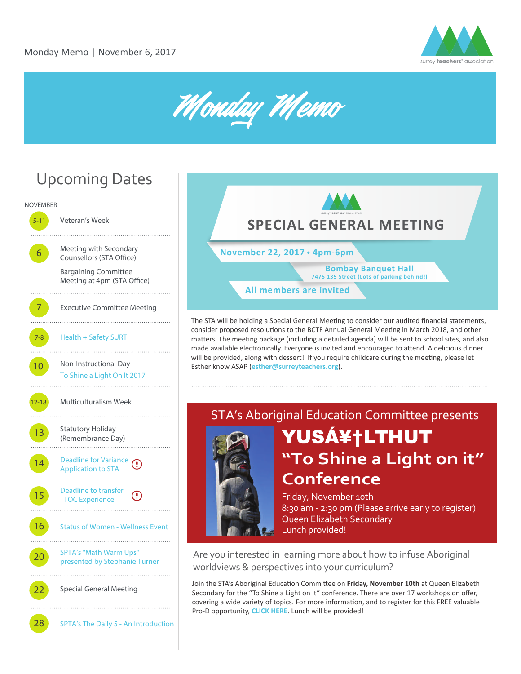



# Upcoming Dates



**All members are invited November 22, 2017 4pm-6pm Bombay Banquet Hall 7475 135 Street (Lots of parking behind!) SPECIAL GENERAL MEETING**

The STA will be holding a Special General Meeting to consider our audited financial statements, consider proposed resolutions to the BCTF Annual General Meeting in March 2018, and other matters. The meeting package (including a detailed agenda) will be sent to school sites, and also made available electronically. Everyone is invited and encouraged to attend. A delicious dinner will be provided, along with dessert! If you require childcare during the meeting, please let Esther know ASAP (**esther@surreyteachers.org**).

# STA's Aboriginal Education Committee presents YUS素LTHUT **"To Shine a Light on it" Conference**

Friday, November 10th 8:30 am - 2:30 pm (Please arrive early to register) Queen Elizabeth Secondary Lunch provided!

Are you interested in learning more about how to infuse Aboriginal worldviews & perspectives into your curriculum?

Join the STA's Aboriginal Education Committee on Friday, November 10th at Queen Elizabeth Secondary for the "To Shine a Light on it" conference. There are over 17 workshops on offer, covering a wide variety of topics. For more information, and to register for this FREE valuable Pro-D opportunity, **[CLICK HERE](https://toshinealightonit2017.eventbrite.ca)**. Lunch will be provided!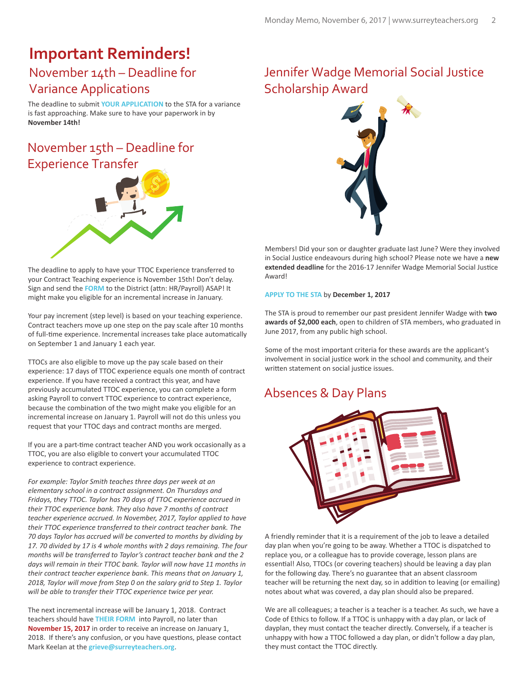# **Important Reminders!**

#### November 14th – Deadline for Variance Applications

The deadline to submit **[YOUR APPLICATION](http://www.surreyteachers.org/variance-application-approval-process/)** to the STA for a variance is fast approaching. Make sure to have your paperwork in by **November 14th!**

### November 15th – Deadline for Experience Transfer



The deadline to apply to have your TTOC Experience transferred to your Contract Teaching experience is November 15th! Don't delay. Sign and send the [FORM](http://www.surreyteachers.org/documents/Forms/TTOCTransferRequestForm-2017.pdf) to the District (attn: HR/Payroll) ASAP! It might make you eligible for an incremental increase in January.

Your pay increment (step level) is based on your teaching experience. Contract teachers move up one step on the pay scale after 10 months of full-time experience. Incremental increases take place automatically on September 1 and January 1 each year.

TTOCs are also eligible to move up the pay scale based on their experience: 17 days of TTOC experience equals one month of contract experience. If you have received a contract this year, and have previously accumulated TTOC experience, you can complete a form asking Payroll to convert TTOC experience to contract experience, because the combination of the two might make you eligible for an incremental increase on January 1. Payroll will not do this unless you request that your TTOC days and contract months are merged.

If you are a part-time contract teacher AND you work occasionally as a TTOC, you are also eligible to convert your accumulated TTOC experience to contract experience.

*For example: Taylor Smith teaches three days per week at an elementary school in a contract assignment. On Thursdays and Fridays, they TTOC. Taylor has 70 days of TTOC experience accrued in their TTOC experience bank. They also have 7 months of contract teacher experience accrued. In November, 2017, Taylor applied to have their TTOC experience transferred to their contract teacher bank. The 70 days Taylor has accrued will be converted to months by dividing by 17. 70 divided by 17 is 4 whole months with 2 days remaining. The four months will be transferred to Taylor's contract teacher bank and the 2 days will remain in their TTOC bank. Taylor will now have 11 months in their contract teacher experience bank. This means that on January 1, 2018, Taylor will move from Step 0 on the salary grid to Step 1. Taylor will be able to transfer their TTOC experience twice per year.* 

The next incremental increase will be January 1, 2018. Contract teachers should have **[THEIR FORM](http://www.surreyteachers.org/documents/Forms/TTOCTransferRequestForm-2017.pdf)** into Payroll, no later than **November 15, 2017** in order to receive an increase on January 1, 2018. If there's any confusion, or you have questions, please contact Mark Keelan at the **grieve@surreyteachers.org**.

#### Jennifer Wadge Memorial Social Justice Scholarship Award



Members! Did your son or daughter graduate last June? Were they involved in Social Justice endeavours during high school? Please note we have a new extended deadline for the 2016-17 Jennifer Wadge Memorial Social Justice Award!

#### **[APPLY TO THE STA](http://www.surreyteachers.org/documents/Forms/JWadgeAward-STA_2017.pdf)** by **December 1, 2017**

The STA is proud to remember our past president Jennifer Wadge with **two awards of \$2,000 each**, open to children of STA members, who graduated in June 2017, from any public high school.

Some of the most important criteria for these awards are the applicant's involvement in social justice work in the school and community, and their written statement on social justice issues.

#### Absences & Day Plans



A friendly reminder that it is a requirement of the job to leave a detailed day plan when you're going to be away. Whether a TTOC is dispatched to replace you, or a colleague has to provide coverage, lesson plans are essential! Also, TTOCs (or covering teachers) should be leaving a day plan for the following day. There's no guarantee that an absent classroom teacher will be returning the next day, so in addition to leaving (or emailing) notes about what was covered, a day plan should also be prepared.

We are all colleagues; a teacher is a teacher is a teacher. As such, we have a Code of Ethics to follow. If a TTOC is unhappy with a day plan, or lack of dayplan, they must contact the teacher directly. Conversely, if a teacher is unhappy with how a TTOC followed a day plan, or didn't follow a day plan, they must contact the TTOC directly.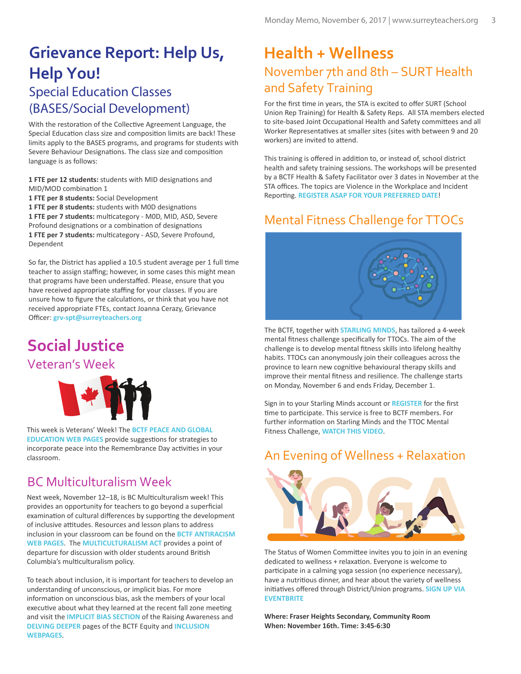### **Grievance Report: Help Us, Help You!** Special Education Classes (BASES/Social Development)

With the restoration of the Collective Agreement Language, the Special Education class size and composition limits are back! These limits apply to the BASES programs, and programs for students with Severe Behaviour Designations. The class size and composition language is as follows:

1 FTE per 12 students: students with MID designations and MID/MOD combination 1 **1 FTE per 8 students:** Social Development 1 FTE per 8 students: students with M0D designations

1 FTE per 7 students: multicategory - M0D, MID, ASD, Severe Profound designations or a combination of designations 1 FTE per 7 students: multicategory - ASD, Severe Profound, Dependent

So far, the District has applied a 10.5 student average per 1 full time teacher to assign staffing; however, in some cases this might mean that programs have been understaffed. Please, ensure that you have received appropriate staffing for your classes. If you are unsure how to figure the calculations, or think that you have not received appropriate FTEs, contact Joanna Cerazy, Grievance Officer: **grv-spt@surreyteachers.org**

# **Social Justice**

#### Veteran's Week



This week is Veterans' Week! The **[BCTF PEACE AND GLOBAL](http://www.bctf.ca/SocialJustice.aspx?id=6214)  [EDUCATION WEB PAGES](http://www.bctf.ca/SocialJustice.aspx?id=6214)** provide suggestions for strategies to incorporate peace into the Remembrance Day activities in your classroom.

#### BC Multiculturalism Week

Next week, November 12-18, is BC Multiculturalism week! This provides an opportunity for teachers to go beyond a superficial examination of cultural differences by supporting the development of inclusive attitudes. Resources and lesson plans to address inclusion in your classroom can be found on the **[BCTF ANTIRACISM](http://www.bctf.ca/SocialJustice.aspx?id=17632)  [WEB PAGES](http://www.bctf.ca/SocialJustice.aspx?id=17632)**. The **[MULTICULTURALISM ACT](http://www.bclaws.ca/Recon/document/ID/freeside/00_96321_01)** provides a point of departure for discussion with older students around British Columbia's multiculturalism policy.

To teach about inclusion, it is important for teachers to develop an understanding of unconscious, or implicit bias. For more information on unconscious bias, ask the members of your local executive about what they learned at the recent fall zone meeting and visit the **[IMPLICIT BIAS SECTION](http://www.bctf.ca/SocialJustice.aspx?id=44338)** of the Raising Awareness and **[DELVING DEEPER](http://www.bctf.ca/SocialJustice.aspx?id=44339)** pages of the BCTF Equity and **[INCLUSION](http://www.bctf.ca/EquityAndInclusion.aspx)  [WEBPAGES](http://www.bctf.ca/EquityAndInclusion.aspx)**.

### **Health + Wellness** November 7th and 8th – SURT Health and Safety Training

For the first time in years, the STA is excited to offer SURT (School Union Rep Training) for Health & Safety Reps. All STA members elected to site-based Joint Occupational Health and Safety committees and all Worker Representatives at smaller sites (sites with between 9 and 20 workers) are invited to attend.

This training is offered in addition to, or instead of, school district health and safety training sessions. The workshops will be presented by a BCTF Health & Safety Facilitator over 3 dates in November at the STA offices. The topics are Violence in the Workplace and Incident Reporting. **[REGISTER ASAP FOR YOUR PREFERRED DATE](http://www.surreyteachers.org/healthandsafety-training-2017)!** 

#### Mental Fitness Challenge for TTOCs



The BCTF, together with **[STARLING MINDS](http://www.starlingminds.com/)**, has tailored a 4-week mental fitness challenge specifically for TTOCs. The aim of the challenge is to develop mental fitness skills into lifelong healthy habits. TTOCs can anonymously join their colleagues across the province to learn new cognitive behavioural therapy skills and improve their mental fitness and resilience. The challenge starts on Monday, November 6 and ends Friday, December 1.

Sign in to your Starling Minds account or **[REGISTER](https://app.starlingminds.com/registration/)** for the first time to participate. This service is free to BCTF members. For further information on Starling Minds and the TTOC Mental Fitness Challenge, **[WATCH THIS VIDEO](https://youtu.be/U7Dw9v6qyY4)**.

#### An Evening of Wellness + Relaxation



The Status of Women Committee invites you to join in an evening dedicated to wellness + relaxation. Everyone is welcome to participate in a calming yoga session (no experience necessary), have a nutritious dinner, and hear about the variety of wellness initiatives offered through District/Union programs. **SIGN UP VIA [EVENTBRITE](https://statusofwomen-wellnesseventnov16.eventbrite.ca)**

**Where: Fraser Heights Secondary, Community Room When: November 16th. Time: 3:45-6:30**